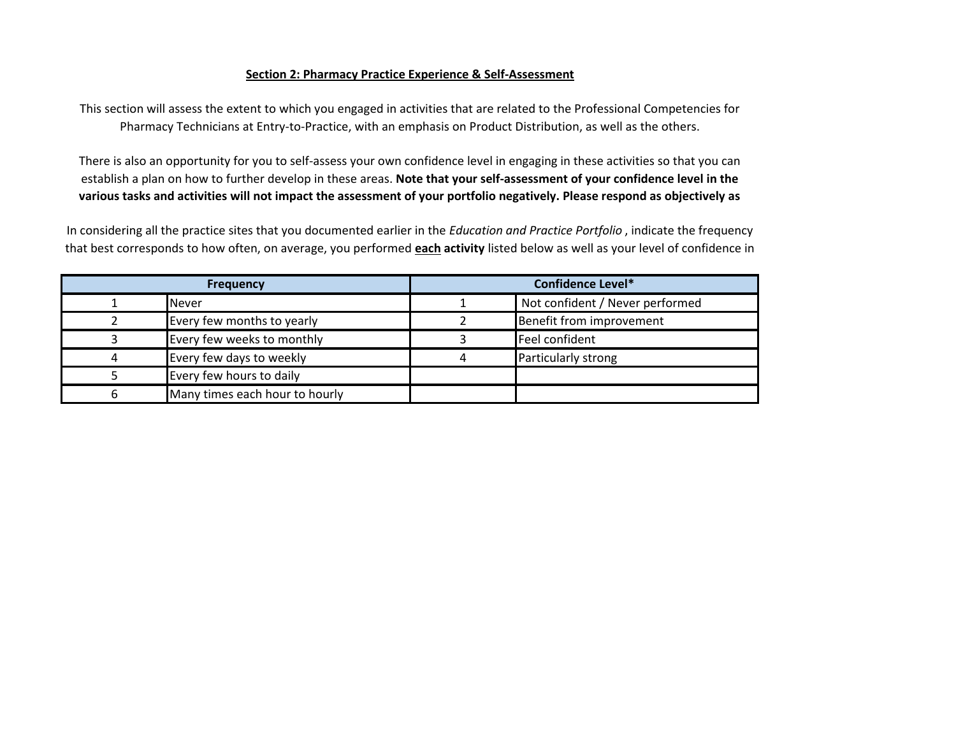## **Section 2: Pharmacy Practice Experience & Self-Assessment**

This section will assess the extent to which you engaged in activities that are related to the Professional Competencies for Pharmacy Technicians at Entry-to-Practice, with an emphasis on Product Distribution, as well as the others.

There is also an opportunity for you to self-assess your own confidence level in engaging in these activities so that you can establish a plan on how to further develop in these areas. **Note that your self-assessment of your confidence level in the various tasks and activities will not impact the assessment of your portfolio negatively. Please respond as objectively as** 

In considering all the practice sites that you documented earlier in the *Education and Practice Portfolio* , indicate the frequency that best corresponds to how often, on average, you performed **each activity** listed below as well as your level of confidence in

| <b>Frequency</b> |                                | <b>Confidence Level*</b> |                                 |
|------------------|--------------------------------|--------------------------|---------------------------------|
|                  | <b>Never</b>                   |                          | Not confident / Never performed |
|                  | Every few months to yearly     |                          | Benefit from improvement        |
|                  | Every few weeks to monthly     |                          | Feel confident                  |
|                  | Every few days to weekly       |                          | Particularly strong             |
|                  | Every few hours to daily       |                          |                                 |
|                  | Many times each hour to hourly |                          |                                 |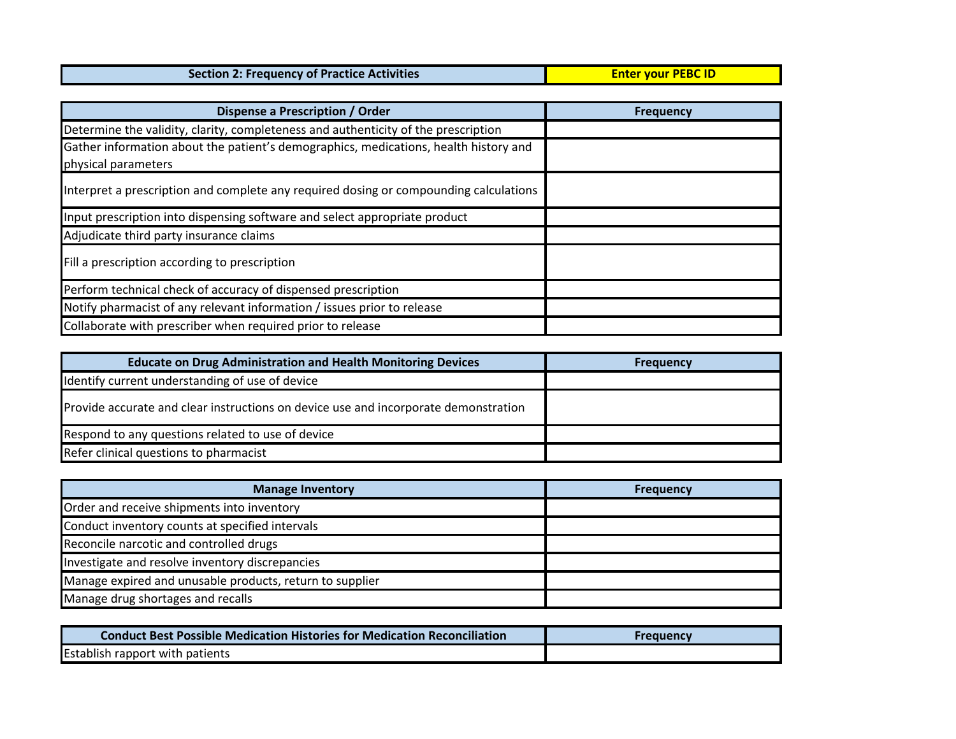| <b>Section 2: Frequency of Practice Activities</b> | <b>Enter vour PEBC ID</b> |
|----------------------------------------------------|---------------------------|
|                                                    |                           |

| Dispense a Prescription / Order                                                       | <b>Frequency</b> |
|---------------------------------------------------------------------------------------|------------------|
| Determine the validity, clarity, completeness and authenticity of the prescription    |                  |
| Gather information about the patient's demographics, medications, health history and  |                  |
| physical parameters                                                                   |                  |
| Interpret a prescription and complete any required dosing or compounding calculations |                  |
| Input prescription into dispensing software and select appropriate product            |                  |
| Adjudicate third party insurance claims                                               |                  |
| Fill a prescription according to prescription                                         |                  |
| Perform technical check of accuracy of dispensed prescription                         |                  |
| Notify pharmacist of any relevant information / issues prior to release               |                  |
| Collaborate with prescriber when required prior to release                            |                  |

| <b>Educate on Drug Administration and Health Monitoring Devices</b>                 | <b>Frequency</b> |
|-------------------------------------------------------------------------------------|------------------|
| Identify current understanding of use of device                                     |                  |
| Provide accurate and clear instructions on device use and incorporate demonstration |                  |
| Respond to any questions related to use of device                                   |                  |
| Refer clinical questions to pharmacist                                              |                  |

| <b>Manage Inventory</b>                                  | <b>Frequency</b> |
|----------------------------------------------------------|------------------|
| Order and receive shipments into inventory               |                  |
| Conduct inventory counts at specified intervals          |                  |
| Reconcile narcotic and controlled drugs                  |                  |
| Investigate and resolve inventory discrepancies          |                  |
| Manage expired and unusable products, return to supplier |                  |
| Manage drug shortages and recalls                        |                  |

| <b>Conduct Best Possible Medication Histories for Medication Reconciliation</b> | Freauency |
|---------------------------------------------------------------------------------|-----------|
| <b>Establish rapport with patients</b>                                          |           |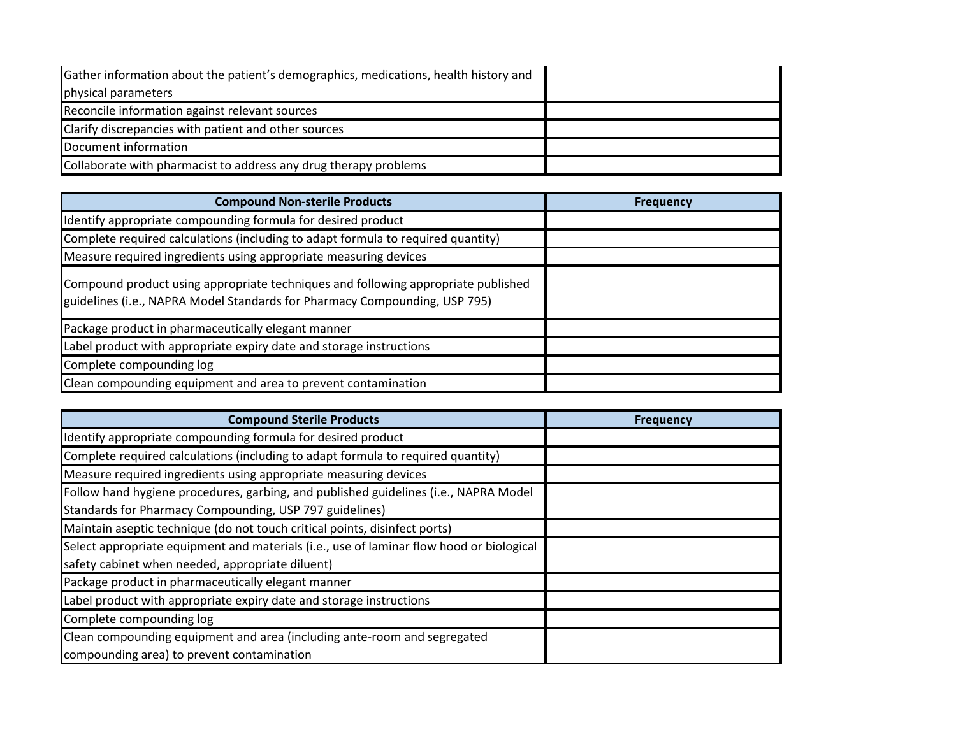| Gather information about the patient's demographics, medications, health history and |  |
|--------------------------------------------------------------------------------------|--|
| physical parameters                                                                  |  |
| Reconcile information against relevant sources                                       |  |
| Clarify discrepancies with patient and other sources                                 |  |
| Document information                                                                 |  |
| Collaborate with pharmacist to address any drug therapy problems                     |  |

| <b>Compound Non-sterile Products</b>                                                                                                                            | <b>Frequency</b> |
|-----------------------------------------------------------------------------------------------------------------------------------------------------------------|------------------|
| Identify appropriate compounding formula for desired product                                                                                                    |                  |
| Complete required calculations (including to adapt formula to required quantity)                                                                                |                  |
| Measure required ingredients using appropriate measuring devices                                                                                                |                  |
| Compound product using appropriate techniques and following appropriate published<br>guidelines (i.e., NAPRA Model Standards for Pharmacy Compounding, USP 795) |                  |
| Package product in pharmaceutically elegant manner                                                                                                              |                  |
| Label product with appropriate expiry date and storage instructions                                                                                             |                  |
| Complete compounding log                                                                                                                                        |                  |
| Clean compounding equipment and area to prevent contamination                                                                                                   |                  |

| <b>Compound Sterile Products</b>                                                         | <b>Frequency</b> |
|------------------------------------------------------------------------------------------|------------------|
| Identify appropriate compounding formula for desired product                             |                  |
| Complete required calculations (including to adapt formula to required quantity)         |                  |
| Measure required ingredients using appropriate measuring devices                         |                  |
| Follow hand hygiene procedures, garbing, and published guidelines (i.e., NAPRA Model     |                  |
| Standards for Pharmacy Compounding, USP 797 guidelines)                                  |                  |
| Maintain aseptic technique (do not touch critical points, disinfect ports)               |                  |
| Select appropriate equipment and materials (i.e., use of laminar flow hood or biological |                  |
| safety cabinet when needed, appropriate diluent)                                         |                  |
| Package product in pharmaceutically elegant manner                                       |                  |
| Label product with appropriate expiry date and storage instructions                      |                  |
| Complete compounding log                                                                 |                  |
| Clean compounding equipment and area (including ante-room and segregated                 |                  |
| compounding area) to prevent contamination                                               |                  |